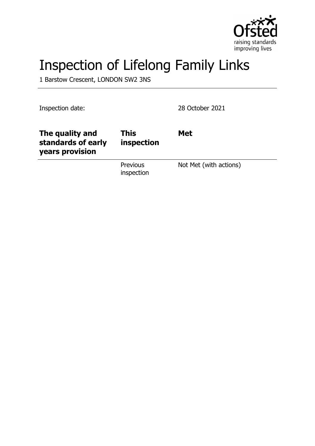

# Inspection of Lifelong Family Links

1 Barstow Crescent, LONDON SW2 3NS

Inspection date: 28 October 2021

| The quality and<br>standards of early<br>years provision | <b>This</b><br>inspection | <b>Met</b>             |
|----------------------------------------------------------|---------------------------|------------------------|
|                                                          | Previous<br>inspection    | Not Met (with actions) |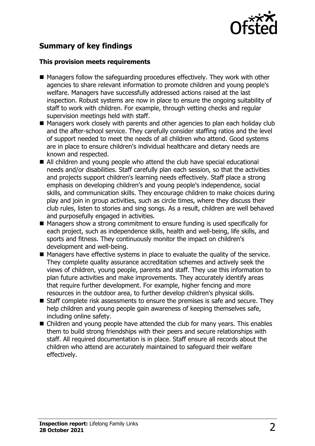

## **Summary of key findings**

#### **This provision meets requirements**

- $\blacksquare$  Managers follow the safeguarding procedures effectively. They work with other agencies to share relevant information to promote children and young people's welfare. Managers have successfully addressed actions raised at the last inspection. Robust systems are now in place to ensure the ongoing suitability of staff to work with children. For example, through vetting checks and regular supervision meetings held with staff.
- $\blacksquare$  Managers work closely with parents and other agencies to plan each holiday club and the after-school service. They carefully consider staffing ratios and the level of support needed to meet the needs of all children who attend. Good systems are in place to ensure children's individual healthcare and dietary needs are known and respected.
- All children and young people who attend the club have special educational needs and/or disabilities. Staff carefully plan each session, so that the activities and projects support children's learning needs effectively. Staff place a strong emphasis on developing children's and young people's independence, social skills, and communication skills. They encourage children to make choices during play and join in group activities, such as circle times, where they discuss their club rules, listen to stories and sing songs. As a result, children are well behaved and purposefully engaged in activities.
- $\blacksquare$  Managers show a strong commitment to ensure funding is used specifically for each project, such as independence skills, health and well-being, life skills, and sports and fitness. They continuously monitor the impact on children's development and well-being.
- $\blacksquare$  Managers have effective systems in place to evaluate the quality of the service. They complete quality assurance accreditation schemes and actively seek the views of children, young people, parents and staff. They use this information to plan future activities and make improvements. They accurately identify areas that require further development. For example, higher fencing and more resources in the outdoor area, to further develop children's physical skills.
- $\blacksquare$  Staff complete risk assessments to ensure the premises is safe and secure. They help children and young people gain awareness of keeping themselves safe, including online safety.
- $\blacksquare$  Children and young people have attended the club for many years. This enables them to build strong friendships with their peers and secure relationships with staff. All required documentation is in place. Staff ensure all records about the children who attend are accurately maintained to safeguard their welfare effectively.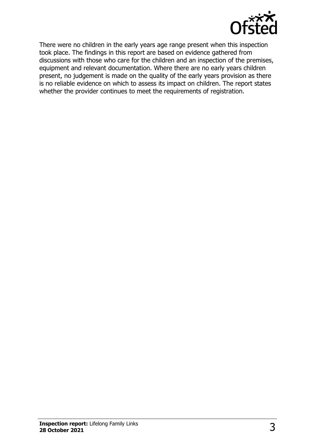

There were no children in the early years age range present when this inspection took place. The findings in this report are based on evidence gathered from discussions with those who care for the children and an inspection of the premises, equipment and relevant documentation. Where there are no early years children present, no judgement is made on the quality of the early years provision as there is no reliable evidence on which to assess its impact on children. The report states whether the provider continues to meet the requirements of registration.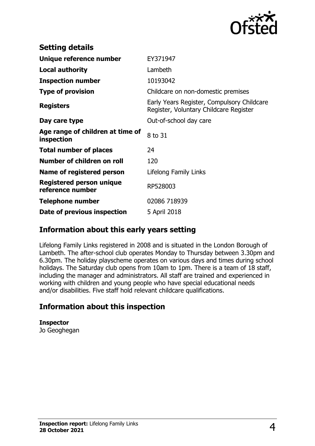

| <b>Setting details</b>                              |                                                                                      |
|-----------------------------------------------------|--------------------------------------------------------------------------------------|
| Unique reference number                             | EY371947                                                                             |
| <b>Local authority</b>                              | Lambeth                                                                              |
| <b>Inspection number</b>                            | 10193042                                                                             |
| <b>Type of provision</b>                            | Childcare on non-domestic premises                                                   |
| <b>Registers</b>                                    | Early Years Register, Compulsory Childcare<br>Register, Voluntary Childcare Register |
| Day care type                                       | Out-of-school day care                                                               |
| Age range of children at time of<br>inspection      | 8 to 31                                                                              |
| <b>Total number of places</b>                       | 24                                                                                   |
| Number of children on roll                          | 120                                                                                  |
| Name of registered person                           | Lifelong Family Links                                                                |
| <b>Registered person unique</b><br>reference number | RP528003                                                                             |
| <b>Telephone number</b>                             | 02086 718939                                                                         |
| Date of previous inspection                         | 5 April 2018                                                                         |

## **Information about this early years setting**

Lifelong Family Links registered in 2008 and is situated in the London Borough of Lambeth. The after-school club operates Monday to Thursday between 3.30pm and 6.30pm. The holiday playscheme operates on various days and times during school holidays. The Saturday club opens from 10am to 1pm. There is a team of 18 staff, including the manager and administrators. All staff are trained and experienced in working with children and young people who have special educational needs and/or disabilities. Five staff hold relevant childcare qualifications.

## **Information about this inspection**

**Inspector** Jo Geoghegan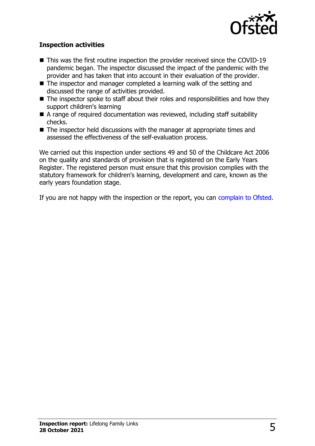

#### **Inspection activities**

- $\blacksquare$  This was the first routine inspection the provider received since the COVID-19 pandemic began. The inspector discussed the impact of the pandemic with the provider and has taken that into account in their evaluation of the provider.
- $\blacksquare$  The inspector and manager completed a learning walk of the setting and discussed the range of activities provided.
- $\blacksquare$  The inspector spoke to staff about their roles and responsibilities and how they support children's learning
- $\blacksquare$  A range of required documentation was reviewed, including staff suitability checks.
- $\blacksquare$  The inspector held discussions with the manager at appropriate times and assessed the effectiveness of the self-evaluation process.

We carried out this inspection under sections 49 and 50 of the Childcare Act 2006 on the quality and standards of provision that is registered on the Early Years Register. The registered person must ensure that this provision complies with the statutory framework for children's learning, development and care, known as the early years foundation stage.

If you are not happy with the inspection or the report, you can [complain to Ofsted](http://www.gov.uk/complain-ofsted-report).